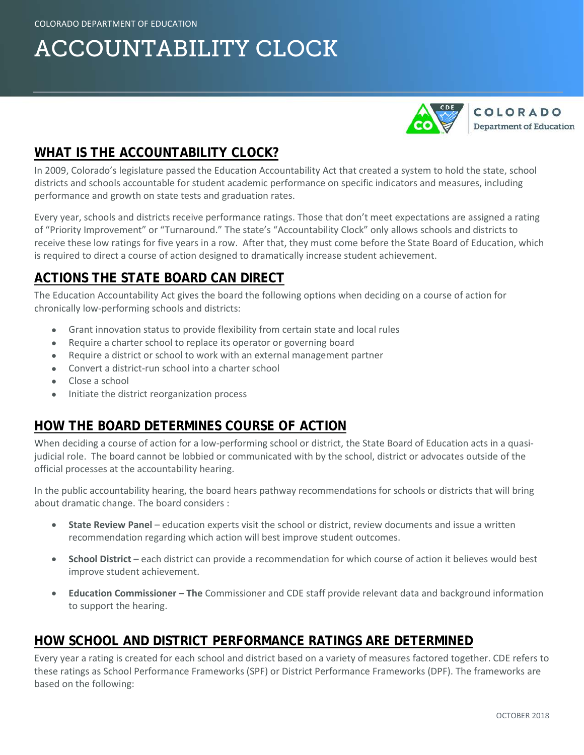# ACCOUNTABILITY CLOCK



# **WHAT IS THE ACCOUNTABILITY CLOCK?**

In 2009, Colorado's legislature passed the Education Accountability Act that created a system to hold the state, school districts and schools accountable for student academic performance on specific indicators and measures, including performance and growth on state tests and graduation rates.

Every year, schools and districts receive performance ratings. Those that don't meet expectations are assigned a rating of "Priority Improvement" or "Turnaround." The state's "Accountability Clock" only allows schools and districts to receive these low ratings for five years in a row. After that, they must come before the State Board of Education, which is required to direct a course of action designed to dramatically increase student achievement.

## **ACTIONS THE STATE BOARD CAN DIRECT**

The Education Accountability Act gives the board the following options when deciding on a course of action for chronically low-performing schools and districts:

- Grant innovation status to provide flexibility from certain state and local rules
- Require a charter school to replace its operator or governing board
- Require a district or school to work with an external management partner
- Convert a district-run school into a charter school
- Close a school
- Initiate the district reorganization process

## **HOW THE BOARD DETERMINES COURSE OF ACTION**

When deciding a course of action for a low-performing school or district, the State Board of Education acts in a quasijudicial role. The board cannot be lobbied or communicated with by the school, district or advocates outside of the official processes at the accountability hearing.

In the public accountability hearing, the board hears pathway recommendations for schools or districts that will bring about dramatic change. The board considers :

- **State Review Panel** education experts visit the school or district, review documents and issue a written recommendation regarding which action will best improve student outcomes.
- **School District** each district can provide a recommendation for which course of action it believes would best improve student achievement.
- **Education Commissioner – The** Commissioner and CDE staff provide relevant data and background information to support the hearing.

#### **HOW SCHOOL AND DISTRICT PERFORMANCE RATINGS ARE DETERMINED**

Every year a rating is created for each school and district based on a variety of measures factored together. CDE refers to these ratings as School Performance Frameworks (SPF) or District Performance Frameworks (DPF). The frameworks are based on the following: